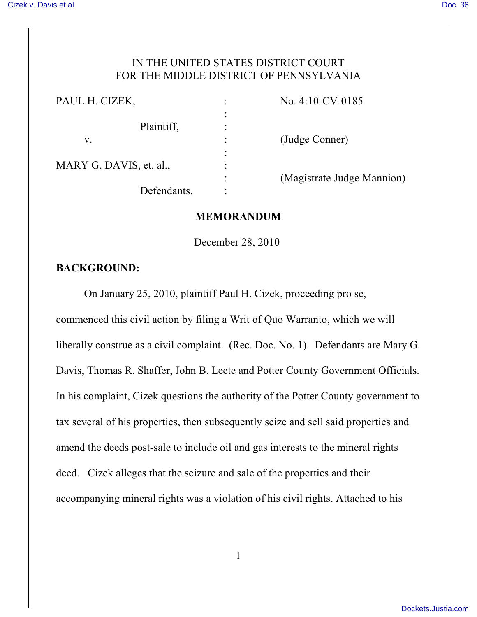#### IN THE UNITED STATES DISTRICT COURT FOR THE MIDDLE DISTRICT OF PENNSYLVANIA

| PAUL H. CIZEK,          | $\ddot{\cdot}$         | No. $4:10$ -CV-0185        |
|-------------------------|------------------------|----------------------------|
|                         | $\bullet$<br>$\bullet$ |                            |
| Plaintiff,              | ٠<br>$\bullet$         |                            |
| V.                      | $\ddot{\cdot}$         | (Judge Conner)             |
| MARY G. DAVIS, et. al., | ٠<br>$\bullet$         |                            |
|                         | ٠<br>$\bullet$         |                            |
|                         | $\bullet$<br>$\bullet$ | (Magistrate Judge Mannion) |
| Defendants.             | ٠                      |                            |

#### **MEMORANDUM**

December 28, 2010

#### **BACKGROUND:**

On January 25, 2010, plaintiff Paul H. Cizek, proceeding pro se,

commenced this civil action by filing a Writ of Quo Warranto, which we will liberally construe as a civil complaint. (Rec. Doc. No. 1). Defendants are Mary G. Davis, Thomas R. Shaffer, John B. Leete and Potter County Government Officials. In his complaint, Cizek questions the authority of the Potter County government to tax several of his properties, then subsequently seize and sell said properties and amend the deeds post-sale to include oil and gas interests to the mineral rights deed. Cizek alleges that the seizure and sale of the properties and their accompanying mineral rights was a violation of his civil rights. Attached to his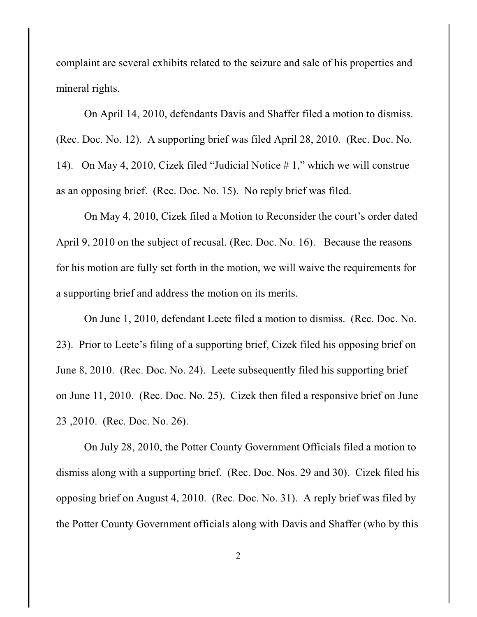complaint are several exhibits related to the seizure and sale of his properties and mineral rights.

On April 14, 2010, defendants Davis and Shaffer filed a motion to dismiss. (Rec. Doc. No. 12). A supporting brief was filed April 28, 2010. (Rec. Doc. No. 14). On May 4, 2010, Cizek filed "Judicial Notice # 1," which we will construe as an opposing brief. (Rec. Doc. No. 15). No reply brief was filed.

On May 4, 2010, Cizek filed a Motion to Reconsider the court's order dated April 9, 2010 on the subject of recusal. (Rec. Doc. No. 16). Because the reasons for his motion are fully set forth in the motion, we will waive the requirements for a supporting brief and address the motion on its merits.

On June 1, 2010, defendant Leete filed a motion to dismiss. (Rec. Doc. No. 23). Prior to Leete's filing of a supporting brief, Cizek filed his opposing brief on June 8, 2010. (Rec. Doc. No. 24). Leete subsequently filed his supporting brief on June 11, 2010. (Rec. Doc. No. 25). Cizek then filed a responsive brief on June 23 ,2010. (Rec. Doc. No. 26).

On July 28, 2010, the Potter County Government Officials filed a motion to dismiss along with a supporting brief. (Rec. Doc. Nos. 29 and 30). Cizek filed his opposing brief on August 4, 2010. (Rec. Doc. No. 31). A reply brief was filed by the Potter County Government officials along with Davis and Shaffer (who by this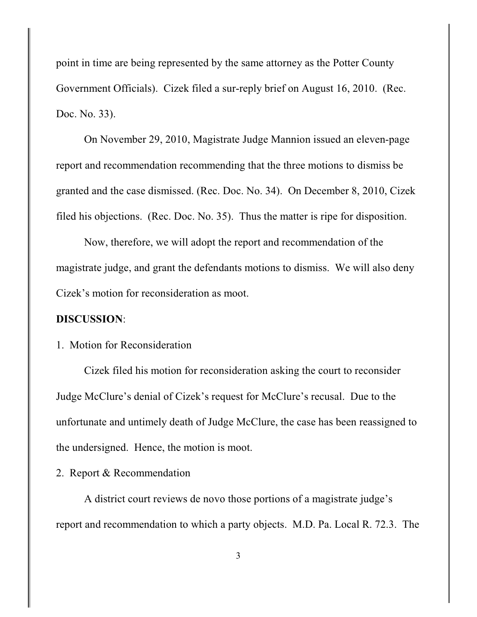point in time are being represented by the same attorney as the Potter County Government Officials). Cizek filed a sur-reply brief on August 16, 2010. (Rec. Doc. No. 33).

On November 29, 2010, Magistrate Judge Mannion issued an eleven-page report and recommendation recommending that the three motions to dismiss be granted and the case dismissed. (Rec. Doc. No. 34). On December 8, 2010, Cizek filed his objections. (Rec. Doc. No. 35). Thus the matter is ripe for disposition.

Now, therefore, we will adopt the report and recommendation of the magistrate judge, and grant the defendants motions to dismiss. We will also deny Cizek's motion for reconsideration as moot.

#### **DISCUSSION**:

# 1. Motion for Reconsideration

Cizek filed his motion for reconsideration asking the court to reconsider Judge McClure's denial of Cizek's request for McClure's recusal. Due to the unfortunate and untimely death of Judge McClure, the case has been reassigned to the undersigned. Hence, the motion is moot.

### 2. Report & Recommendation

A district court reviews de novo those portions of a magistrate judge's report and recommendation to which a party objects. M.D. Pa. Local R. 72.3. The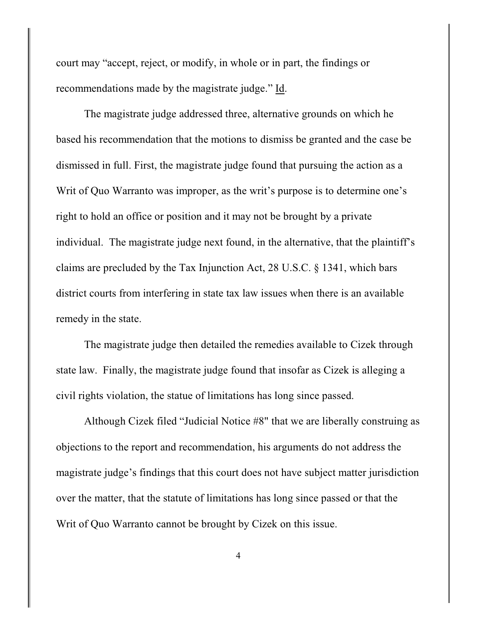court may "accept, reject, or modify, in whole or in part, the findings or recommendations made by the magistrate judge." Id.

The magistrate judge addressed three, alternative grounds on which he based his recommendation that the motions to dismiss be granted and the case be dismissed in full. First, the magistrate judge found that pursuing the action as a Writ of Quo Warranto was improper, as the writ's purpose is to determine one's right to hold an office or position and it may not be brought by a private individual. The magistrate judge next found, in the alternative, that the plaintiff's claims are precluded by the Tax Injunction Act, 28 U.S.C. § 1341, which bars district courts from interfering in state tax law issues when there is an available remedy in the state.

The magistrate judge then detailed the remedies available to Cizek through state law. Finally, the magistrate judge found that insofar as Cizek is alleging a civil rights violation, the statue of limitations has long since passed.

Although Cizek filed "Judicial Notice #8" that we are liberally construing as objections to the report and recommendation, his arguments do not address the magistrate judge's findings that this court does not have subject matter jurisdiction over the matter, that the statute of limitations has long since passed or that the Writ of Quo Warranto cannot be brought by Cizek on this issue.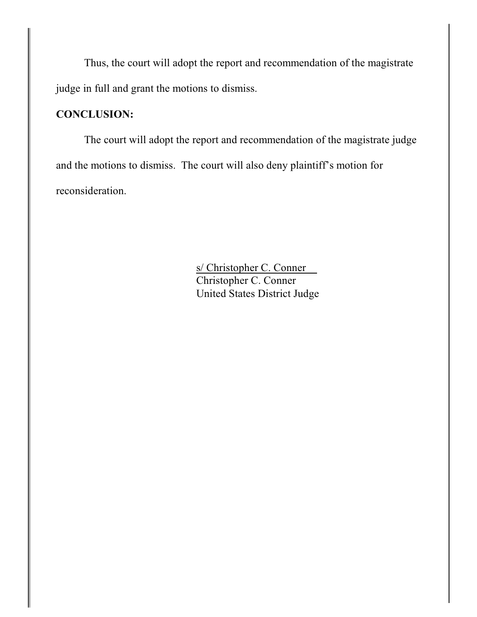Thus, the court will adopt the report and recommendation of the magistrate judge in full and grant the motions to dismiss.

# **CONCLUSION:**

The court will adopt the report and recommendation of the magistrate judge and the motions to dismiss. The court will also deny plaintiff's motion for reconsideration.

> s/ Christopher C. Conner Christopher C. Conner United States District Judge